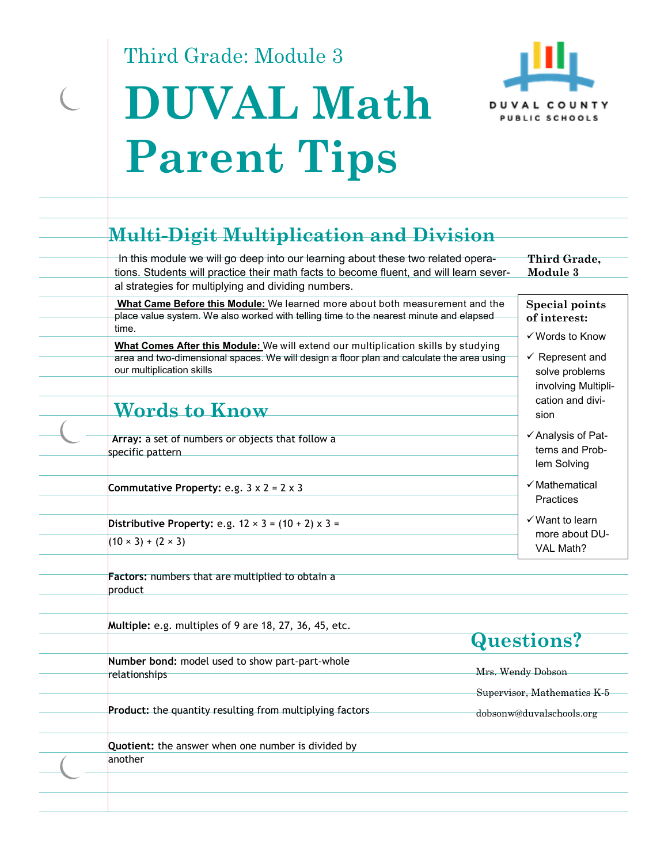Third Grade: Module 3

 $\overline{C}$ 

# **DUVAL Math Parent Tips**



| Module 3                                                            |
|---------------------------------------------------------------------|
| <b>Special points</b><br>of interest:<br>$\checkmark$ Words to Know |
| $\checkmark$ Represent and<br>solve problems<br>involving Multipli- |
| cation and divi-<br>sion                                            |
| ✓ Analysis of Pat-<br>terns and Prob-<br>lem Solving                |
| $\checkmark$ Mathematical<br>Practices                              |
| $\checkmark$ Want to learn                                          |
| more about DU-<br>VAL Math?                                         |
|                                                                     |

**Multiple:** e.g. multiples of 9 are 18, 27, 36, 45, etc.

**Number bond:** model used to show part–part–whole relationships

**Product:** the quantity resulting from multiplying factors

**Quotient:** the answer when one number is divided by another

#### **Questions?**

Mrs. Wendy Dobson Supervisor, Mathematics K-5

dobsonw@duvalschools.org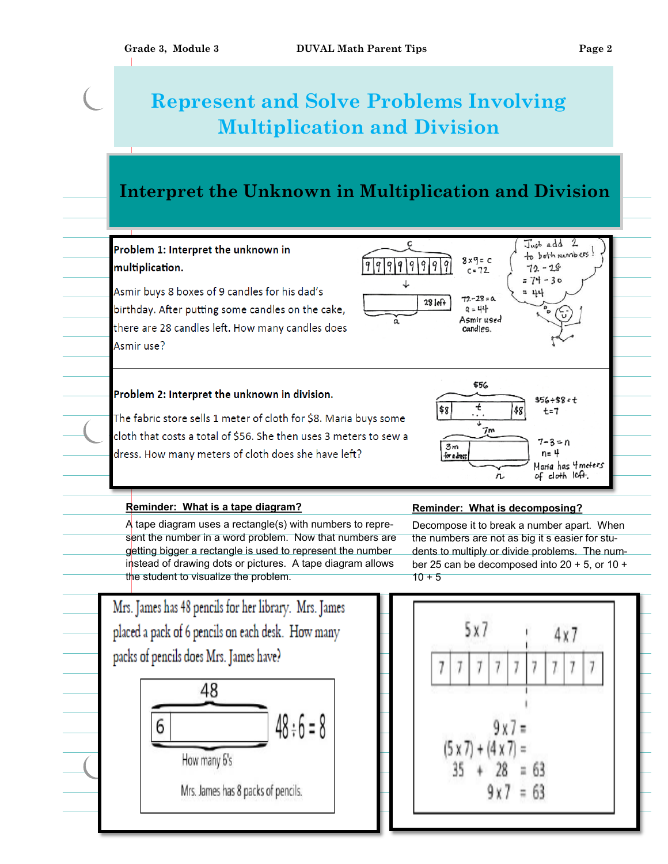## **Represent and Solve Problems Involving Multiplication and Division**

#### **Interpret the Unknown in Multiplication and Division**

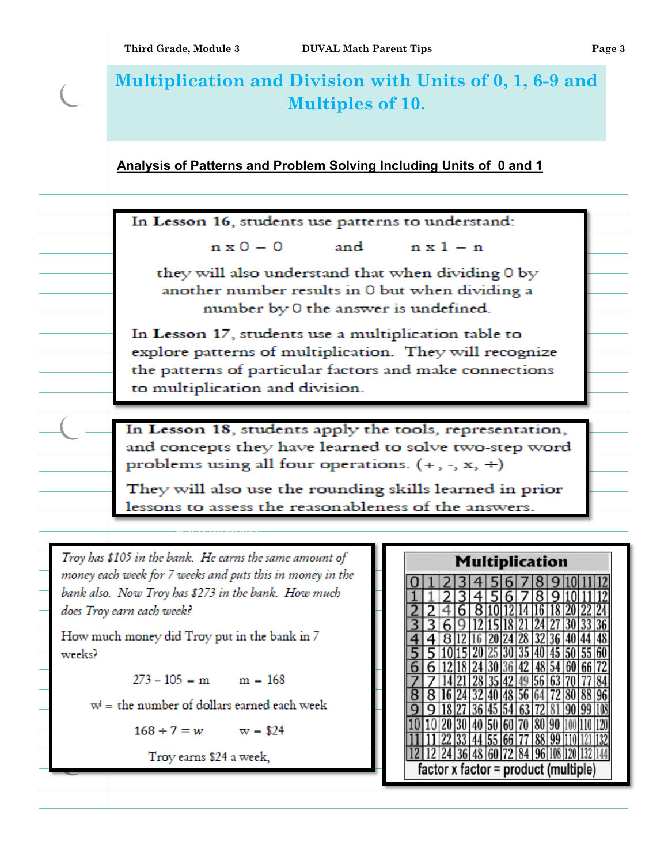| Multiplication and Division with Units of 0, 1, 6-9 and<br><b>Multiples of 10.</b>                                                                                                                                                                                                                                                                                                           |                                            |                                                                                                                                                                                                                                                                                                                                                                                                                                                                                                                |  |
|----------------------------------------------------------------------------------------------------------------------------------------------------------------------------------------------------------------------------------------------------------------------------------------------------------------------------------------------------------------------------------------------|--------------------------------------------|----------------------------------------------------------------------------------------------------------------------------------------------------------------------------------------------------------------------------------------------------------------------------------------------------------------------------------------------------------------------------------------------------------------------------------------------------------------------------------------------------------------|--|
|                                                                                                                                                                                                                                                                                                                                                                                              |                                            |                                                                                                                                                                                                                                                                                                                                                                                                                                                                                                                |  |
|                                                                                                                                                                                                                                                                                                                                                                                              |                                            |                                                                                                                                                                                                                                                                                                                                                                                                                                                                                                                |  |
|                                                                                                                                                                                                                                                                                                                                                                                              |                                            |                                                                                                                                                                                                                                                                                                                                                                                                                                                                                                                |  |
|                                                                                                                                                                                                                                                                                                                                                                                              |                                            |                                                                                                                                                                                                                                                                                                                                                                                                                                                                                                                |  |
| they will also understand that when dividing 0 by<br>another number results in 0 but when dividing a<br>number by 0 the answer is undefined.                                                                                                                                                                                                                                                 |                                            |                                                                                                                                                                                                                                                                                                                                                                                                                                                                                                                |  |
| In Lesson 17, students use a multiplication table to<br>explore patterns of multiplication. They will recognize<br>the patterns of particular factors and make connections<br>to multiplication and division.                                                                                                                                                                                |                                            |                                                                                                                                                                                                                                                                                                                                                                                                                                                                                                                |  |
|                                                                                                                                                                                                                                                                                                                                                                                              |                                            |                                                                                                                                                                                                                                                                                                                                                                                                                                                                                                                |  |
| Troy has \$105 in the bank. He earns the same amount of<br>money each week for 7 weeks and puts this in money in the<br>bank also. Now Troy has \$273 in the bank. How much<br>does Troy earn each week?<br>How much money did Troy put in the bank in 7<br>$273 - 105 = m$ m = 168<br>$w'$ = the number of dollars earned each week<br>$168 \div 7 = w$ w = \$24<br>Troy earns \$24 a week, | <b>Multiplication</b><br> 70  80  90<br>60 |                                                                                                                                                                                                                                                                                                                                                                                                                                                                                                                |  |
|                                                                                                                                                                                                                                                                                                                                                                                              |                                            | Analysis of Patterns and Problem Solving Including Units of 0 and 1<br>In Lesson 16, students use patterns to understand:<br>$n \times 0 = 0$ and $n \times 1 = n$<br>In Lesson 18, students apply the tools, representation,<br>and concepts they have learned to solve two-step word<br>problems using all four operations. $(+, -, x, +)$<br>They will also use the rounding skills learned in prior<br>lessons to assess the reasonableness of the answers.<br>$factor \times factor = product$ (multiple) |  |